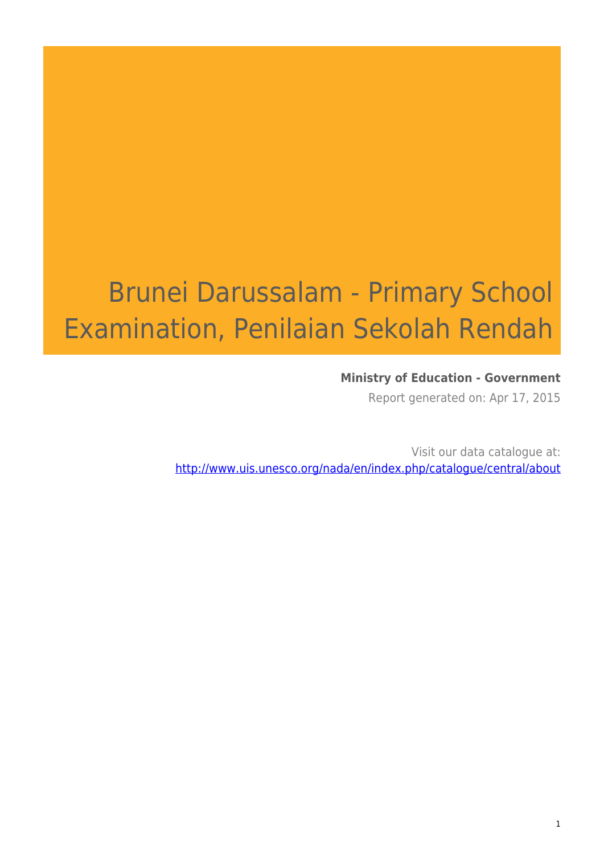# Brunei Darussalam - Primary School Examination, Penilaian Sekolah Rendah

### **Ministry of Education - Government**

Report generated on: Apr 17, 2015

Visit our data catalogue at: http://www.uis.unesco.org/nada/en/index.php/catalogue/central/about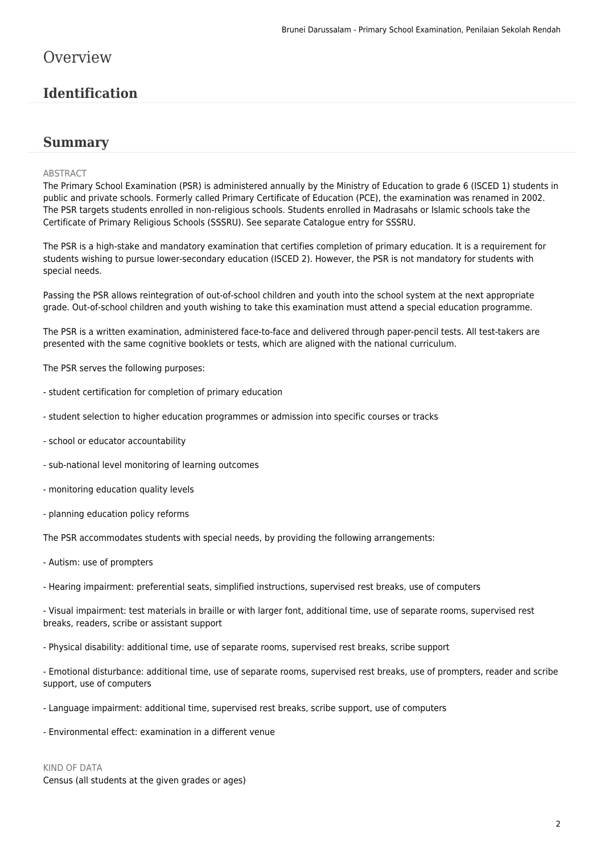# **Overview**

# **Identification**

### **Summary**

#### ABSTRACT

The Primary School Examination (PSR) is administered annually by the Ministry of Education to grade 6 (ISCED 1) students in public and private schools. Formerly called Primary Certificate of Education (PCE), the examination was renamed in 2002. The PSR targets students enrolled in non-religious schools. Students enrolled in Madrasahs or Islamic schools take the Certificate of Primary Religious Schools (SSSRU). See separate Catalogue entry for SSSRU.

The PSR is a high-stake and mandatory examination that certifies completion of primary education. It is a requirement for students wishing to pursue lower-secondary education (ISCED 2). However, the PSR is not mandatory for students with special needs.

Passing the PSR allows reintegration of out-of-school children and youth into the school system at the next appropriate grade. Out-of-school children and youth wishing to take this examination must attend a special education programme.

The PSR is a written examination, administered face-to-face and delivered through paper-pencil tests. All test-takers are presented with the same cognitive booklets or tests, which are aligned with the national curriculum.

The PSR serves the following purposes:

- student certification for completion of primary education
- student selection to higher education programmes or admission into specific courses or tracks
- school or educator accountability
- sub-national level monitoring of learning outcomes
- monitoring education quality levels
- planning education policy reforms

The PSR accommodates students with special needs, by providing the following arrangements:

- Autism: use of prompters

- Hearing impairment: preferential seats, simplified instructions, supervised rest breaks, use of computers

- Visual impairment: test materials in braille or with larger font, additional time, use of separate rooms, supervised rest breaks, readers, scribe or assistant support

- Physical disability: additional time, use of separate rooms, supervised rest breaks, scribe support

- Emotional disturbance: additional time, use of separate rooms, supervised rest breaks, use of prompters, reader and scribe support, use of computers

- Language impairment: additional time, supervised rest breaks, scribe support, use of computers
- Environmental effect: examination in a different venue

#### KIND OF DATA

Census (all students at the given grades or ages)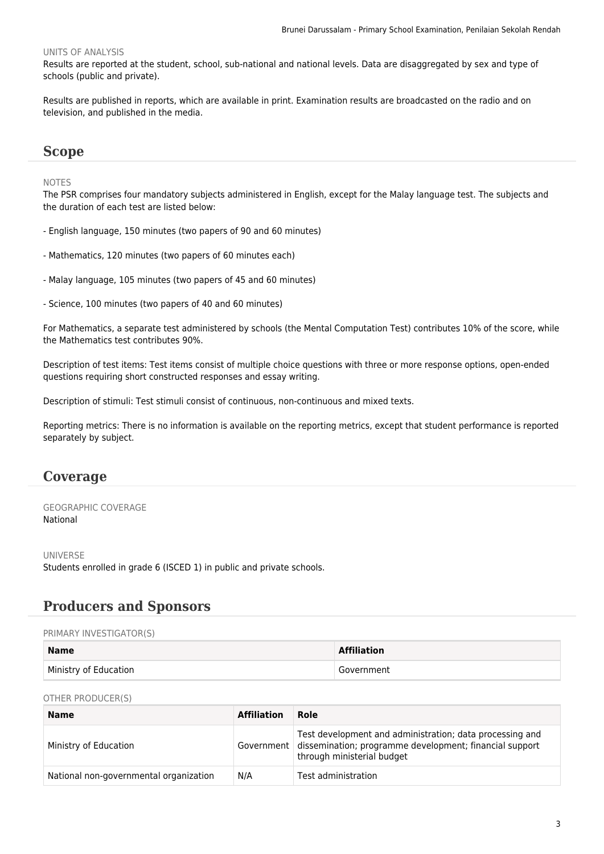#### UNITS OF ANALYSIS

Results are reported at the student, school, sub-national and national levels. Data are disaggregated by sex and type of schools (public and private).

Results are published in reports, which are available in print. Examination results are broadcasted on the radio and on television, and published in the media.

### **Scope**

#### NOTES

The PSR comprises four mandatory subjects administered in English, except for the Malay language test. The subjects and the duration of each test are listed below:

- English language, 150 minutes (two papers of 90 and 60 minutes)
- Mathematics, 120 minutes (two papers of 60 minutes each)
- Malay language, 105 minutes (two papers of 45 and 60 minutes)
- Science, 100 minutes (two papers of 40 and 60 minutes)

For Mathematics, a separate test administered by schools (the Mental Computation Test) contributes 10% of the score, while the Mathematics test contributes 90%.

Description of test items: Test items consist of multiple choice questions with three or more response options, open-ended questions requiring short constructed responses and essay writing.

Description of stimuli: Test stimuli consist of continuous, non-continuous and mixed texts.

Reporting metrics: There is no information is available on the reporting metrics, except that student performance is reported separately by subject.

### **Coverage**

#### GEOGRAPHIC COVERAGE National

UNIVERSE Students enrolled in grade 6 (ISCED 1) in public and private schools.

### **Producers and Sponsors**

#### PRIMARY INVESTIGATOR(S)

| <b>Name</b>           | <b>Affiliation</b> |
|-----------------------|--------------------|
| Ministry of Education | Government         |

OTHER PRODUCER(S)

| <b>Name</b>                            | <b>Affiliation</b> | Role                                                                                                                                              |
|----------------------------------------|--------------------|---------------------------------------------------------------------------------------------------------------------------------------------------|
| Ministry of Education                  | Government         | Test development and administration; data processing and<br>dissemination; programme development; financial support<br>through ministerial budget |
| National non-governmental organization | N/A                | Test administration                                                                                                                               |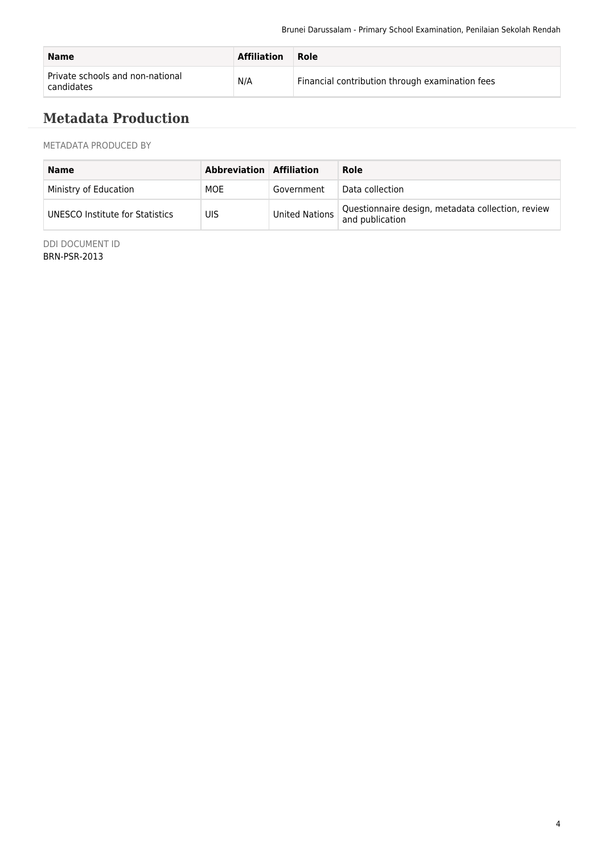| <b>Name</b>                                    | <b>Affiliation</b> | Role                                            |
|------------------------------------------------|--------------------|-------------------------------------------------|
| Private schools and non-national<br>candidates | N/A                | Financial contribution through examination fees |

# **Metadata Production**

METADATA PRODUCED BY

| <b>Name</b>                     | <b>Abbreviation Affiliation</b> |                | Role                                                                 |
|---------------------------------|---------------------------------|----------------|----------------------------------------------------------------------|
| Ministry of Education           | MOE                             | Government     | Data collection                                                      |
| UNESCO Institute for Statistics | UIS                             | United Nations | Questionnaire design, metadata collection, review<br>and publication |

DDI DOCUMENT ID BRN-PSR-2013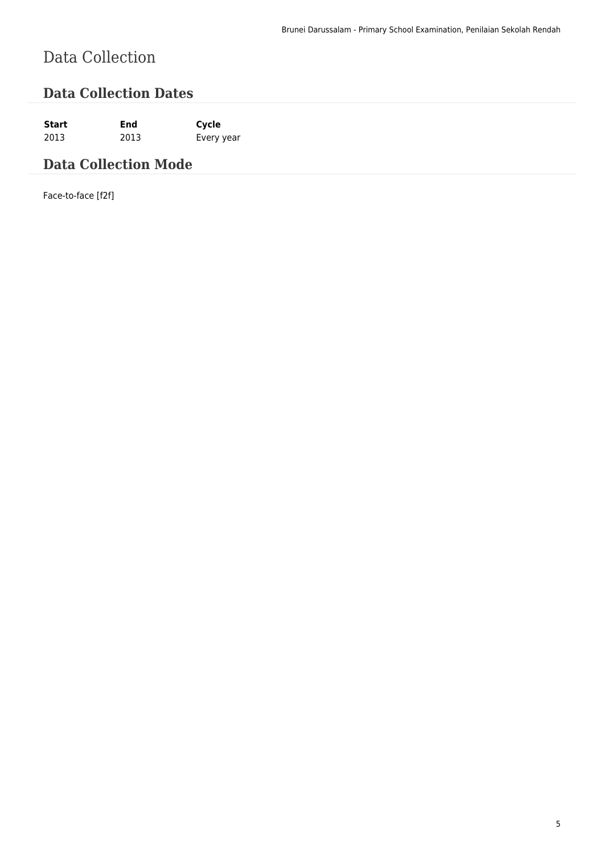# Data Collection

## **Data Collection Dates**

**Start End Cycle** 2013 2013 Every year

# **Data Collection Mode**

Face-to-face [f2f]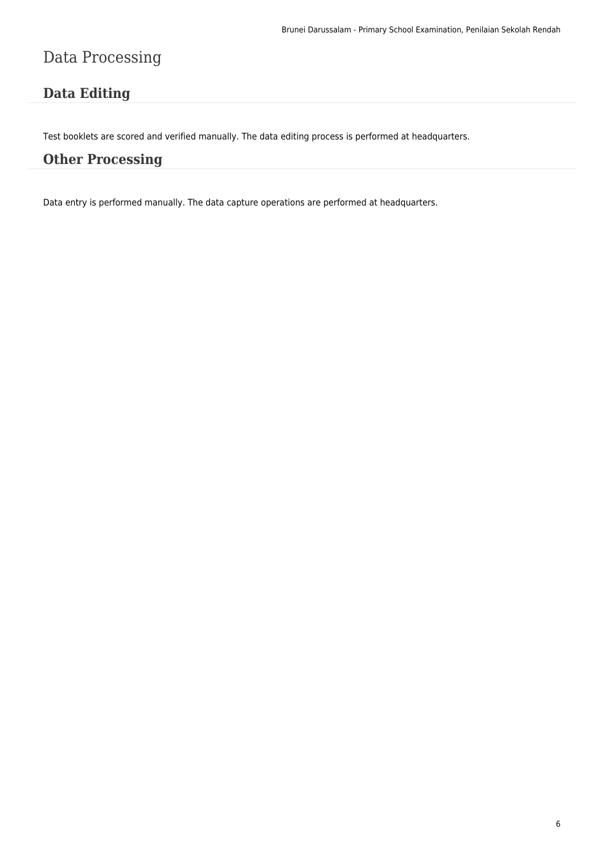# Data Processing

# **Data Editing**

Test booklets are scored and verified manually. The data editing process is performed at headquarters.

### **Other Processing**

Data entry is performed manually. The data capture operations are performed at headquarters.